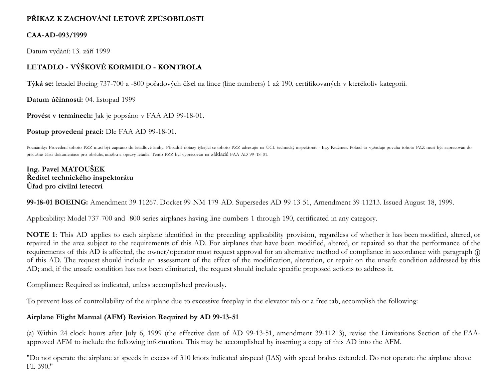# **PŘÍKAZ K ZACHOVÁNÍ LETOVÉ ZPŮSOBILOSTI**

## **CAA-AD-093/1999**

Datum vydání: 13. září 1999

# **LETADLO - VÝŠKOVÉ KORMIDLO - KONTROLA**

**Týká se:** letadel Boeing 737-700 a -800 pořadových čísel na lince (line numbers) 1 až 190, certifikovaných v kterékoliv kategorii.

**Datum účinnosti:** 04. listopad 1999

**Provést v termínech:** Jak je popsáno v FAA AD 99-18-01.

**Postup provedení prací:** Dle FAA AD 99-18-01.

Poznámky: Provedení tohoto PZZ musí být zapsáno do letadlové knihy. Případné dotazy týkající se tohoto PZZ adresujte na ÚCL technický inspektorát - Ing. Kračmer. Pokud to vyžaduje povaha tohoto PZZ musí být zapracován do příslušné části dokumentace pro obsluhu,údržbu a opravy letadla. Tento PZZ byl vypracován na základě FAA AD 99-18-01.

**Ing. Pavel MATOUŠEK Ředitel technického inspektorátu Úřad pro civilní letectví**

**99-18-01 BOEING:** Amendment 39-11267. Docket 99-NM-179-AD. Supersedes AD 99-13-51, Amendment 39-11213. Issued August 18, 1999.

Applicability: Model 737-700 and -800 series airplanes having line numbers 1 through 190, certificated in any category.

**NOTE 1**: This AD applies to each airplane identified in the preceding applicability provision, regardless of whether it has been modified, altered, or repaired in the area subject to the requirements of this AD. For airplanes that have been modified, altered, or repaired so that the performance of the requirements of this AD is affected, the owner/operator must request approval for an alternative method of compliance in accordance with paragraph (j) of this AD. The request should include an assessment of the effect of the modification, alteration, or repair on the unsafe condition addressed by this AD; and, if the unsafe condition has not been eliminated, the request should include specific proposed actions to address it.

Compliance: Required as indicated, unless accomplished previously.

To prevent loss of controllability of the airplane due to excessive freeplay in the elevator tab or a free tab, accomplish the following:

## **Airplane Flight Manual (AFM) Revision Required by AD 99-13-51**

(a) Within 24 clock hours after July 6, 1999 (the effective date of AD 99-13-51, amendment 39-11213), revise the Limitations Section of the FAAapproved AFM to include the following information. This may be accomplished by inserting a copy of this AD into the AFM.

"Do not operate the airplane at speeds in excess of 310 knots indicated airspeed (IAS) with speed brakes extended. Do not operate the airplane above FL 390."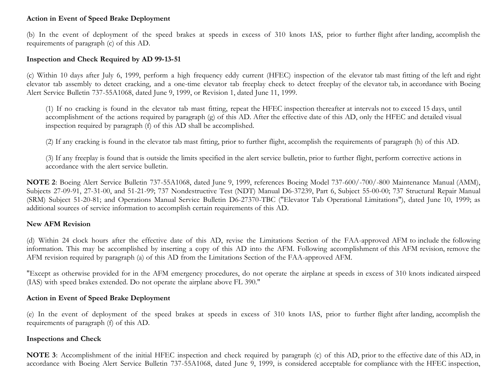## **Action in Event of Speed Brake Deployment**

(b) In the event of deployment of the speed brakes at speeds in excess of 310 knots IAS, prior to further flight after landing, accomplish the requirements of paragraph (c) of this AD.

#### **Inspection and Check Required by AD 99-13-51**

(c) Within 10 days after July 6, 1999, perform a high frequency eddy current (HFEC) inspection of the elevator tab mast fitting of the left and right elevator tab assembly to detect cracking, and a one-time elevator tab freeplay check to detect freeplay of the elevator tab, in accordance with Boeing Alert Service Bulletin 737-55A1068, dated June 9, 1999, or Revision 1, dated June 11, 1999.

(1) If no cracking is found in the elevator tab mast fitting, repeat the HFEC inspection thereafter at intervals not to exceed 15 days, until accomplishment of the actions required by paragraph (g) of this AD. After the effective date of this AD, only the HFEC and detailed visual inspection required by paragraph (f) of this AD shall be accomplished.

(2) If any cracking is found in the elevator tab mast fitting, prior to further flight, accomplish the requirements of paragraph (h) of this AD.

(3) If any freeplay is found that is outside the limits specified in the alert service bulletin, prior to further flight, perform corrective actions in accordance with the alert service bulletin.

**NOTE 2**: Boeing Alert Service Bulletin 737-55A1068, dated June 9, 1999, references Boeing Model 737-600/-700/-800 Maintenance Manual (AMM), Subjects 27-09-91, 27-31-00, and 51-21-99; 737 Nondestructive Test (NDT) Manual D6-37239, Part 6, Subject 55-00-00; 737 Structural Repair Manual (SRM) Subject 51-20-81; and Operations Manual Service Bulletin D6-27370-TBC ("Elevator Tab Operational Limitations"), dated June 10, 1999; as additional sources of service information to accomplish certain requirements of this AD.

### **New AFM Revision**

(d) Within 24 clock hours after the effective date of this AD, revise the Limitations Section of the FAA-approved AFM to include the following information. This may be accomplished by inserting a copy of this AD into the AFM. Following accomplishment of this AFM revision, remove the AFM revision required by paragraph (a) of this AD from the Limitations Section of the FAA-approved AFM.

"Except as otherwise provided for in the AFM emergency procedures, do not operate the airplane at speeds in excess of 310 knots indicated airspeed (IAS) with speed brakes extended. Do not operate the airplane above FL 390."

### **Action in Event of Speed Brake Deployment**

(e) In the event of deployment of the speed brakes at speeds in excess of 310 knots IAS, prior to further flight after landing, accomplish the requirements of paragraph (f) of this AD.

### **Inspections and Check**

**NOTE 3**: Accomplishment of the initial HFEC inspection and check required by paragraph (c) of this AD, prior to the effective date of this AD, in accordance with Boeing Alert Service Bulletin 737-55A1068, dated June 9, 1999, is considered acceptable for compliance with the HFEC inspection,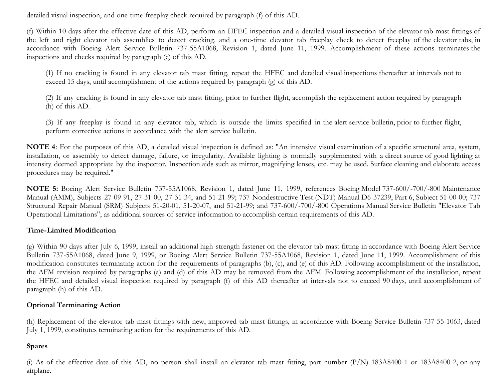detailed visual inspection, and one-time freeplay check required by paragraph (f) of this AD.

(f) Within 10 days after the effective date of this AD, perform an HFEC inspection and a detailed visual inspection of the elevator tab mast fittings of the left and right elevator tab assemblies to detect cracking, and a one-time elevator tab freeplay check to detect freeplay of the elevator tabs, in accordance with Boeing Alert Service Bulletin 737-55A1068, Revision 1, dated June 11, 1999. Accomplishment of these actions terminates the inspections and checks required by paragraph (c) of this AD.

(1) If no cracking is found in any elevator tab mast fitting, repeat the HFEC and detailed visual inspections thereafter at intervals not to exceed 15 days, until accomplishment of the actions required by paragraph (g) of this AD.

(2) If any cracking is found in any elevator tab mast fitting, prior to further flight, accomplish the replacement action required by paragraph (h) of this AD.

(3) If any freeplay is found in any elevator tab, which is outside the limits specified in the alert service bulletin, prior to further flight, perform corrective actions in accordance with the alert service bulletin.

**NOTE 4**: For the purposes of this AD, a detailed visual inspection is defined as: "An intensive visual examination of a specific structural area, system, installation, or assembly to detect damage, failure, or irregularity. Available lighting is normally supplemented with a direct source of good lighting at intensity deemed appropriate by the inspector. Inspection aids such as mirror, magnifying lenses, etc. may be used. Surface cleaning and elaborate access procedures may be required."

**NOTE 5:** Boeing Alert Service Bulletin 737-55A1068, Revision 1, dated June 11, 1999, references Boeing Model 737-600/-700/-800 Maintenance Manual (AMM), Subjects 27-09-91, 27-31-00, 27-31-34, and 51-21-99; 737 Nondestructive Test (NDT) Manual D6-37239, Part 6, Subject 51-00-00; 737 Structural Repair Manual (SRM) Subjects 51-20-01, 51-20-07, and 51-21-99; and 737-600/-700/-800 Operations Manual Service Bulletin "Elevator Tab Operational Limitations"; as additional sources of service information to accomplish certain requirements of this AD.

### **Time-Limited Modification**

(g) Within 90 days after July 6, 1999, install an additional high-strength fastener on the elevator tab mast fitting in accordance with Boeing Alert Service Bulletin 737-55A1068, dated June 9, 1999, or Boeing Alert Service Bulletin 737-55A1068, Revision 1, dated June 11, 1999. Accomplishment of this modification constitutes terminating action for the requirements of paragraphs (b), (c), and (e) of this AD. Following accomplishment of the installation, the AFM revision required by paragraphs (a) and (d) of this AD may be removed from the AFM. Following accomplishment of the installation, repeat the HFEC and detailed visual inspection required by paragraph (f) of this AD thereafter at intervals not to exceed 90 days, until accomplishment of paragraph (h) of this AD.

### **Optional Terminating Action**

(h) Replacement of the elevator tab mast fittings with new, improved tab mast fittings, in accordance with Boeing Service Bulletin 737-55-1063, dated July 1, 1999, constitutes terminating action for the requirements of this AD.

## **Spares**

(i) As of the effective date of this AD, no person shall install an elevator tab mast fitting, part number (P/N) 183A8400-1 or 183A8400-2, on any airplane.